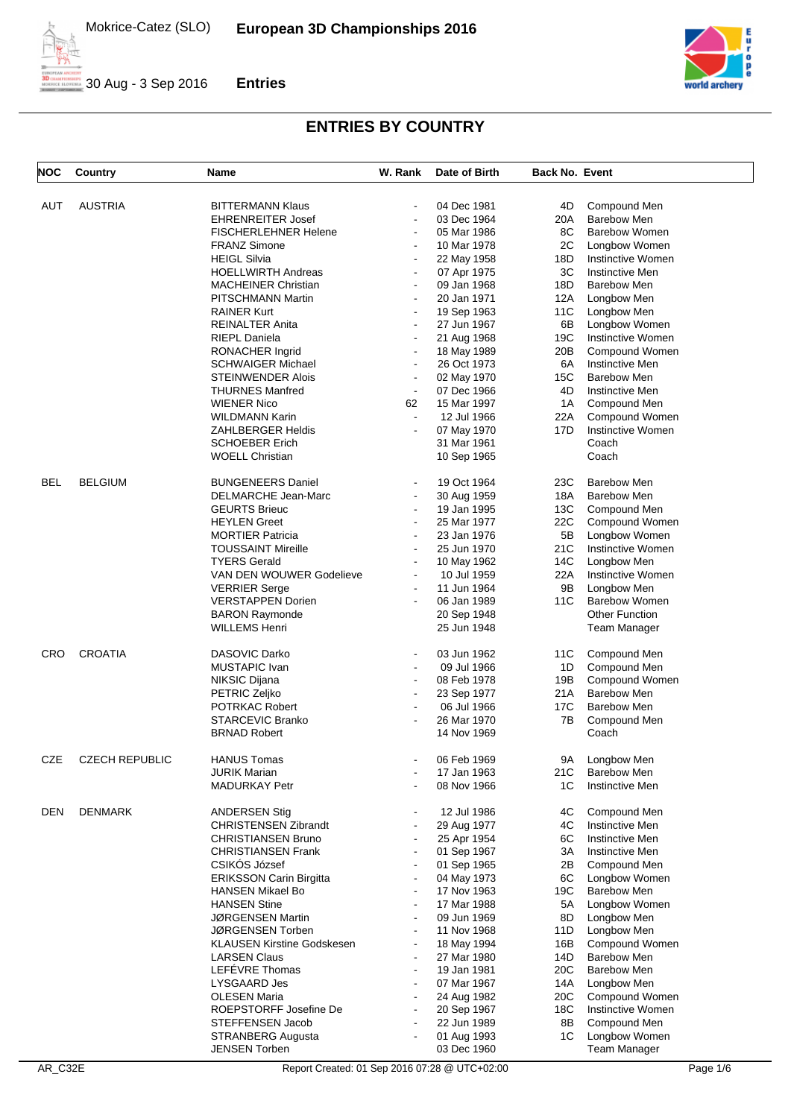



| <b>NOC</b> | <b>Country</b>        | Name                           | W. Rank                                    | Date of Birth              | <b>Back No. Event</b> |                                |
|------------|-----------------------|--------------------------------|--------------------------------------------|----------------------------|-----------------------|--------------------------------|
|            |                       |                                |                                            |                            |                       |                                |
| AUT        | <b>AUSTRIA</b>        | <b>BITTERMANN Klaus</b>        | $\sim$                                     | 04 Dec 1981                | 4D                    | Compound Men                   |
|            |                       | <b>EHRENREITER Josef</b>       | $\overline{\phantom{a}}$                   | 03 Dec 1964                | 20A                   | <b>Barebow Men</b>             |
|            |                       | <b>FISCHERLEHNER Helene</b>    | $\blacksquare$                             | 05 Mar 1986                | 8C                    | <b>Barebow Women</b>           |
|            |                       | <b>FRANZ Simone</b>            | $\overline{\phantom{a}}$                   | 10 Mar 1978                | 2C                    | Longbow Women                  |
|            |                       | <b>HEIGL Silvia</b>            | $\overline{\phantom{a}}$                   | 22 May 1958                | 18D                   | Instinctive Women              |
|            |                       | <b>HOELLWIRTH Andreas</b>      | $\blacksquare$                             | 07 Apr 1975                | 3C                    | Instinctive Men                |
|            |                       | <b>MACHEINER Christian</b>     | $\overline{\phantom{a}}$                   | 09 Jan 1968                | 18D                   | Barebow Men                    |
|            |                       | PITSCHMANN Martin              | $\blacksquare$                             | 20 Jan 1971                | 12A                   |                                |
|            |                       | <b>RAINER Kurt</b>             | $\blacksquare$                             |                            | 11C                   | Longbow Men<br>Longbow Men     |
|            |                       |                                |                                            | 19 Sep 1963                |                       |                                |
|            |                       | <b>REINALTER Anita</b>         | $\blacksquare$                             | 27 Jun 1967                | 6B                    | Longbow Women                  |
|            |                       | <b>RIEPL Daniela</b>           | $\blacksquare$                             | 21 Aug 1968                | 19C                   | Instinctive Women              |
|            |                       | RONACHER Ingrid                | $\blacksquare$                             | 18 May 1989                | 20B                   | Compound Women                 |
|            |                       | <b>SCHWAIGER Michael</b>       | $\blacksquare$                             | 26 Oct 1973                | 6A                    | <b>Instinctive Men</b>         |
|            |                       | STEINWENDER Alois              |                                            | 02 May 1970                | 15C                   | Barebow Men                    |
|            |                       | THURNES Manfred                | $\blacksquare$                             | 07 Dec 1966                | 4D                    | Instinctive Men                |
|            |                       | <b>WIENER Nico</b>             | 62                                         | 15 Mar 1997                | 1A                    | Compound Men                   |
|            |                       | WILDMANN Karin                 | $\blacksquare$                             | 12 Jul 1966                | 22A                   | Compound Women                 |
|            |                       | ZAHLBERGER Heldis              | $\blacksquare$                             | 07 May 1970                | 17D                   | Instinctive Women              |
|            |                       | <b>SCHOEBER Erich</b>          |                                            | 31 Mar 1961                |                       | Coach                          |
|            |                       | <b>WOELL Christian</b>         |                                            | 10 Sep 1965                |                       | Coach                          |
|            |                       |                                |                                            |                            |                       | <b>Barebow Men</b>             |
| <b>BEL</b> | <b>BELGIUM</b>        | <b>BUNGENEERS Daniel</b>       | $\blacksquare$<br>$\overline{\phantom{a}}$ | 19 Oct 1964                | 23C                   | <b>Barebow Men</b>             |
|            |                       | DELMARCHE Jean-Marc            | $\overline{\phantom{a}}$                   | 30 Aug 1959                | 18A<br>13C            |                                |
|            |                       | <b>GEURTS Brieuc</b>           |                                            | 19 Jan 1995<br>25 Mar 1977 |                       | Compound Men<br>Compound Women |
|            |                       | <b>HEYLEN Greet</b>            | $\overline{\phantom{a}}$                   |                            | 22C                   |                                |
|            |                       | <b>MORTIER Patricia</b>        | $\blacksquare$                             | 23 Jan 1976                | 5B                    | Longbow Women                  |
|            |                       | <b>TOUSSAINT Mireille</b>      | $\overline{\phantom{a}}$                   | 25 Jun 1970                | 21C                   | Instinctive Women              |
|            |                       | TYERS Gerald                   | $\blacksquare$                             | 10 May 1962                | 14C                   | Longbow Men                    |
|            |                       | VAN DEN WOUWER Godelieve       | $\blacksquare$                             | 10 Jul 1959                | 22A                   | Instinctive Women              |
|            |                       | <b>VERRIER Serge</b>           | $\overline{\phantom{a}}$                   | 11 Jun 1964                | 9Β                    | Longbow Men                    |
|            |                       | <b>VERSTAPPEN Dorien</b>       | $\blacksquare$                             | 06 Jan 1989                | 11C                   | <b>Barebow Women</b>           |
|            |                       | <b>BARON Raymonde</b>          |                                            | 20 Sep 1948                |                       | <b>Other Function</b>          |
|            |                       | WILLEMS Henri                  |                                            | 25 Jun 1948                |                       | <b>Team Manager</b>            |
| <b>CRO</b> | <b>CROATIA</b>        | DASOVIC Darko                  | $\overline{\phantom{a}}$                   | 03 Jun 1962                | 11C                   | Compound Men                   |
|            |                       | MUSTAPIC Ivan                  | $\blacksquare$                             | 09 Jul 1966                | 1D                    | Compound Men                   |
|            |                       | NIKSIC Dijana                  |                                            | 08 Feb 1978                | 19B                   | Compound Women                 |
|            |                       | PETRIC Zeljko                  | $\blacksquare$                             | 23 Sep 1977                | 21A                   | <b>Barebow Men</b>             |
|            |                       | <b>POTRKAC Robert</b>          |                                            | 06 Jul 1966                | 17C                   | <b>Barebow Men</b>             |
|            |                       | <b>STARCEVIC Branko</b>        |                                            | 26 Mar 1970                | 7В                    | Compound Men                   |
|            |                       | <b>BRNAD Robert</b>            |                                            | 14 Nov 1969                |                       | Coach                          |
|            |                       |                                |                                            |                            |                       |                                |
| <b>CZE</b> | <b>CZECH REPUBLIC</b> | <b>HANUS Tomas</b>             |                                            | 06 Feb 1969                |                       | 9A Longbow Men                 |
|            |                       | JURIK Marian                   |                                            | 17 Jan 1963                | 21C                   | <b>Barebow Men</b>             |
|            |                       | <b>MADURKAY Petr</b>           |                                            | 08 Nov 1966                | 1C                    | <b>Instinctive Men</b>         |
|            |                       |                                |                                            |                            |                       |                                |
| DEN        | DENMARK               | <b>ANDERSEN Stig</b>           |                                            | 12 Jul 1986                | 4C                    | Compound Men                   |
|            |                       | <b>CHRISTENSEN Zibrandt</b>    |                                            | 29 Aug 1977                | 4C                    | Instinctive Men                |
|            |                       | CHRISTIANSEN Bruno             | $\blacksquare$                             | 25 Apr 1954                | 6C                    | <b>Instinctive Men</b>         |
|            |                       | <b>CHRISTIANSEN Frank</b>      |                                            | 01 Sep 1967                | ЗΑ                    | Instinctive Men                |
|            |                       | CSIKÓS József                  |                                            | 01 Sep 1965                | 2В                    | Compound Men                   |
|            |                       | <b>ERIKSSON Carin Birgitta</b> | $\blacksquare$                             | 04 May 1973                | 6C                    | Longbow Women                  |
|            |                       | HANSEN Mikael Bo               | $\blacksquare$                             | 17 Nov 1963                | 19C                   | <b>Barebow Men</b>             |
|            |                       | <b>HANSEN Stine</b>            | $\overline{\phantom{a}}$                   | 17 Mar 1988                | 5A                    | Longbow Women                  |
|            |                       | JØRGENSEN Martin               | $\overline{\phantom{a}}$                   | 09 Jun 1969                | 8D                    | Longbow Men                    |
|            |                       | JØRGENSEN Torben               | $\overline{\phantom{a}}$                   | 11 Nov 1968                | 11D                   | Longbow Men                    |
|            |                       | KLAUSEN Kirstine Godskesen     | $\overline{\phantom{a}}$                   | 18 May 1994                | 16B                   | Compound Women                 |
|            |                       | <b>LARSEN Claus</b>            | L.                                         | 27 Mar 1980                | 14D                   | <b>Barebow Men</b>             |
|            |                       | LEFÉVRE Thomas                 |                                            | 19 Jan 1981                | 20C                   | <b>Barebow Men</b>             |
|            |                       | LYSGAARD Jes                   |                                            | 07 Mar 1967                | 14A                   | Longbow Men                    |
|            |                       | <b>OLESEN Maria</b>            | $\blacksquare$                             | 24 Aug 1982                | 20C                   | Compound Women                 |
|            |                       | ROEPSTORFF Josefine De         | $\overline{a}$                             | 20 Sep 1967                | 18C                   | Instinctive Women              |
|            |                       | STEFFENSEN Jacob               |                                            | 22 Jun 1989                | 8Β                    | Compound Men                   |
|            |                       | STRANBERG Augusta              |                                            | 01 Aug 1993                | 1C                    | Longbow Women                  |
|            |                       | <b>JENSEN Torben</b>           |                                            | 03 Dec 1960                |                       | <b>Team Manager</b>            |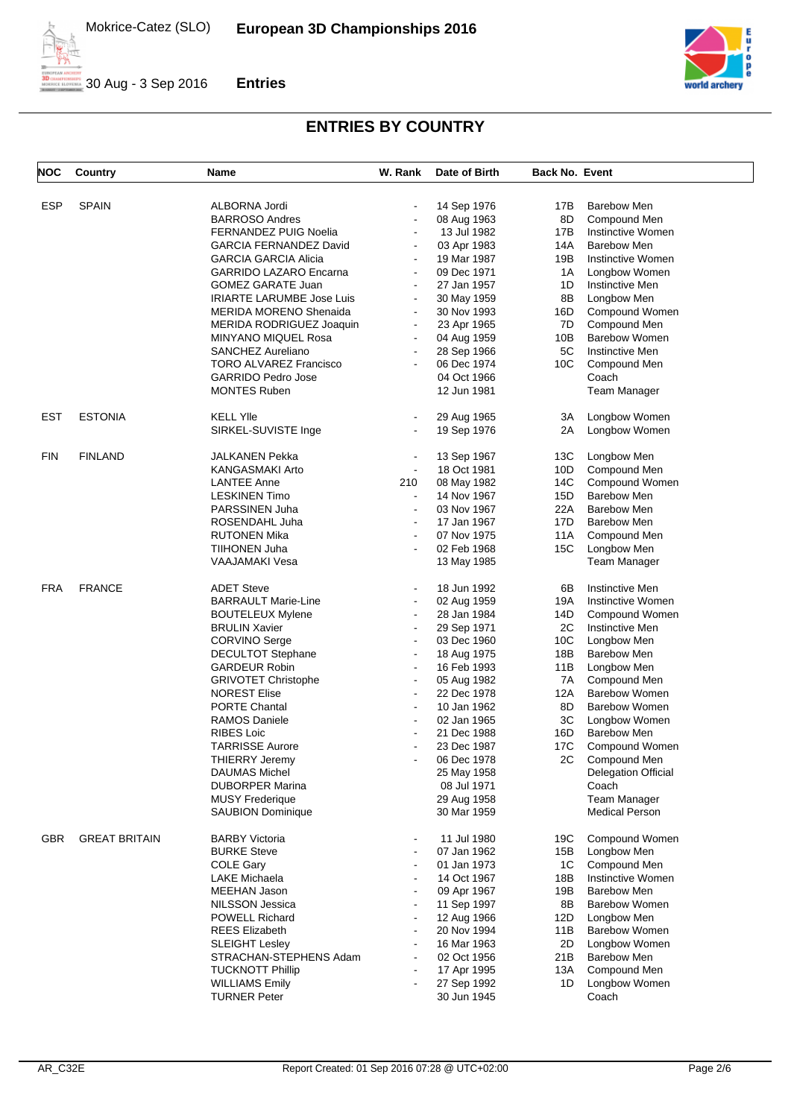



| NOC        | Country              | Name                             | W. Rank                  | Date of Birth | <b>Back No. Event</b> |                            |
|------------|----------------------|----------------------------------|--------------------------|---------------|-----------------------|----------------------------|
|            |                      |                                  |                          |               |                       |                            |
| <b>ESP</b> | <b>SPAIN</b>         | ALBORNA Jordi                    | $\overline{\phantom{a}}$ | 14 Sep 1976   | 17B                   | <b>Barebow Men</b>         |
|            |                      | <b>BARROSO Andres</b>            | $\overline{\phantom{a}}$ | 08 Aug 1963   | 8D                    | Compound Men               |
|            |                      | <b>FERNANDEZ PUIG Noelia</b>     | $\blacksquare$           | 13 Jul 1982   | 17B                   | Instinctive Women          |
|            |                      | <b>GARCIA FERNANDEZ David</b>    | $\blacksquare$           | 03 Apr 1983   | 14A                   | <b>Barebow Men</b>         |
|            |                      | <b>GARCIA GARCIA Alicia</b>      | $\blacksquare$           | 19 Mar 1987   | 19B                   | Instinctive Women          |
|            |                      | <b>GARRIDO LAZARO Encarna</b>    | $\blacksquare$           | 09 Dec 1971   | 1A                    | Longbow Women              |
|            |                      | <b>GOMEZ GARATE Juan</b>         | $\blacksquare$           | 27 Jan 1957   | 1D                    | <b>Instinctive Men</b>     |
|            |                      | <b>IRIARTE LARUMBE Jose Luis</b> | $\overline{\phantom{a}}$ | 30 May 1959   | 8Β                    | Longbow Men                |
|            |                      | <b>MERIDA MORENO Shenaida</b>    | $\blacksquare$           | 30 Nov 1993   | 16D                   | Compound Women             |
|            |                      | MERIDA RODRIGUEZ Joaquin         | $\blacksquare$           | 23 Apr 1965   | 7D                    | Compound Men               |
|            |                      | <b>MINYANO MIQUEL Rosa</b>       | $\blacksquare$           |               | 10B                   | <b>Barebow Women</b>       |
|            |                      |                                  |                          | 04 Aug 1959   |                       |                            |
|            |                      | SANCHEZ Aureliano                | $\blacksquare$           | 28 Sep 1966   | 5C                    | Instinctive Men            |
|            |                      | <b>TORO ALVAREZ Francisco</b>    | $\blacksquare$           | 06 Dec 1974   | 10C                   | Compound Men               |
|            |                      | <b>GARRIDO Pedro Jose</b>        |                          | 04 Oct 1966   |                       | Coach                      |
|            |                      | <b>MONTES Ruben</b>              |                          | 12 Jun 1981   |                       | <b>Team Manager</b>        |
| EST        | <b>ESTONIA</b>       | <b>KELL YIIe</b>                 |                          | 29 Aug 1965   | 3A                    | Longbow Women              |
|            |                      | SIRKEL-SUVISTE Inge              | $\blacksquare$           | 19 Sep 1976   | 2A                    | Longbow Women              |
|            |                      |                                  |                          |               |                       |                            |
| <b>FIN</b> | <b>FINLAND</b>       | JALKANEN Pekka                   | $\blacksquare$           | 13 Sep 1967   | 13C                   | Longbow Men                |
|            |                      | KANGASMAKI Arto                  | $\blacksquare$           | 18 Oct 1981   | 10D                   | Compound Men               |
|            |                      | LANTEE Anne                      | 210                      | 08 May 1982   | 14C                   | Compound Women             |
|            |                      | <b>LESKINEN Timo</b>             | $\blacksquare$           | 14 Nov 1967   | 15D                   | <b>Barebow Men</b>         |
|            |                      | PARSSINEN Juha                   | $\blacksquare$           | 03 Nov 1967   | 22A                   | <b>Barebow Men</b>         |
|            |                      | ROSENDAHL Juha                   | $\overline{\phantom{a}}$ | 17 Jan 1967   | 17D                   | <b>Barebow Men</b>         |
|            |                      | <b>RUTONEN Mika</b>              | $\blacksquare$           | 07 Nov 1975   | 11A                   | Compound Men               |
|            |                      | TIIHONEN Juha                    | $\blacksquare$           | 02 Feb 1968   | 15C                   | Longbow Men                |
|            |                      | VAAJAMAKI Vesa                   |                          | 13 May 1985   |                       | <b>Team Manager</b>        |
|            |                      |                                  |                          |               |                       |                            |
| FRA        | <b>FRANCE</b>        | <b>ADET Steve</b>                | $\blacksquare$           | 18 Jun 1992   | 6В                    | <b>Instinctive Men</b>     |
|            |                      | <b>BARRAULT Marie-Line</b>       | $\overline{\phantom{a}}$ | 02 Aug 1959   | 19A                   | <b>Instinctive Women</b>   |
|            |                      | <b>BOUTELEUX Mylene</b>          | $\blacksquare$           | 28 Jan 1984   | 14D                   | Compound Women             |
|            |                      | <b>BRULIN Xavier</b>             | $\blacksquare$           | 29 Sep 1971   | 2C                    | Instinctive Men            |
|            |                      | <b>CORVINO Serge</b>             | $\blacksquare$           | 03 Dec 1960   | 10 <sub>C</sub>       | Longbow Men                |
|            |                      | <b>DECULTOT Stephane</b>         | $\overline{\phantom{a}}$ | 18 Aug 1975   | 18B                   | <b>Barebow Men</b>         |
|            |                      | <b>GARDEUR Robin</b>             | $\blacksquare$           | 16 Feb 1993   | 11B                   | Longbow Men                |
|            |                      | <b>GRIVOTET Christophe</b>       | $\overline{\phantom{a}}$ | 05 Aug 1982   | 7A                    | Compound Men               |
|            |                      | <b>NOREST Elise</b>              | $\blacksquare$           | 22 Dec 1978   | 12A                   | <b>Barebow Women</b>       |
|            |                      | PORTE Chantal                    | $\blacksquare$           | 10 Jan 1962   | 8D                    | <b>Barebow Women</b>       |
|            |                      | <b>RAMOS Daniele</b>             | $\overline{\phantom{a}}$ | 02 Jan 1965   | ЗC                    | Longbow Women              |
|            |                      | <b>RIBES Loic</b>                | $\blacksquare$           | 21 Dec 1988   | 16D                   | <b>Barebow Men</b>         |
|            |                      | <b>TARRISSE Aurore</b>           |                          | 23 Dec 1987   | 17C                   | Compound Women             |
|            |                      | THIERRY Jeremy                   |                          | 06 Dec 1978   | 2C                    | Compound Men               |
|            |                      | <b>DAUMAS Michel</b>             |                          | 25 May 1958   |                       | <b>Delegation Official</b> |
|            |                      | <b>DUBORPER Marina</b>           |                          | 08 Jul 1971   |                       | Coach                      |
|            |                      | <b>MUSY Frederique</b>           |                          | 29 Aug 1958   |                       | <b>Team Manager</b>        |
|            |                      | <b>SAUBION Dominique</b>         |                          | 30 Mar 1959   |                       | <b>Medical Person</b>      |
|            |                      |                                  |                          |               |                       |                            |
| <b>GBR</b> | <b>GREAT BRITAIN</b> | <b>BARBY Victoria</b>            |                          | 11 Jul 1980   | 19C                   | Compound Women             |
|            |                      | <b>BURKE Steve</b>               | $\overline{\phantom{a}}$ | 07 Jan 1962   | 15B                   | Longbow Men                |
|            |                      | <b>COLE Gary</b>                 |                          | 01 Jan 1973   | 1C                    | Compound Men               |
|            |                      | <b>LAKE Michaela</b>             |                          | 14 Oct 1967   | 18B                   | Instinctive Women          |
|            |                      | MEEHAN Jason                     | $\blacksquare$           | 09 Apr 1967   | 19B                   | <b>Barebow Men</b>         |
|            |                      | NILSSON Jessica                  |                          | 11 Sep 1997   | 8Β                    | <b>Barebow Women</b>       |
|            |                      | POWELL Richard                   | $\blacksquare$           | 12 Aug 1966   | 12D                   | Longbow Men                |
|            |                      | <b>REES Elizabeth</b>            | $\overline{a}$           | 20 Nov 1994   | 11B                   | <b>Barebow Women</b>       |
|            |                      | <b>SLEIGHT Lesley</b>            |                          | 16 Mar 1963   | 2D                    | Longbow Women              |
|            |                      | STRACHAN-STEPHENS Adam           | $\blacksquare$           | 02 Oct 1956   | 21 B                  | <b>Barebow Men</b>         |
|            |                      | <b>TUCKNOTT Phillip</b>          | $\blacksquare$           | 17 Apr 1995   | 13A                   | Compound Men               |
|            |                      | <b>WILLIAMS Emily</b>            |                          | 27 Sep 1992   | 1D                    | Longbow Women              |
|            |                      | <b>TURNER Peter</b>              |                          | 30 Jun 1945   |                       | Coach                      |
|            |                      |                                  |                          |               |                       |                            |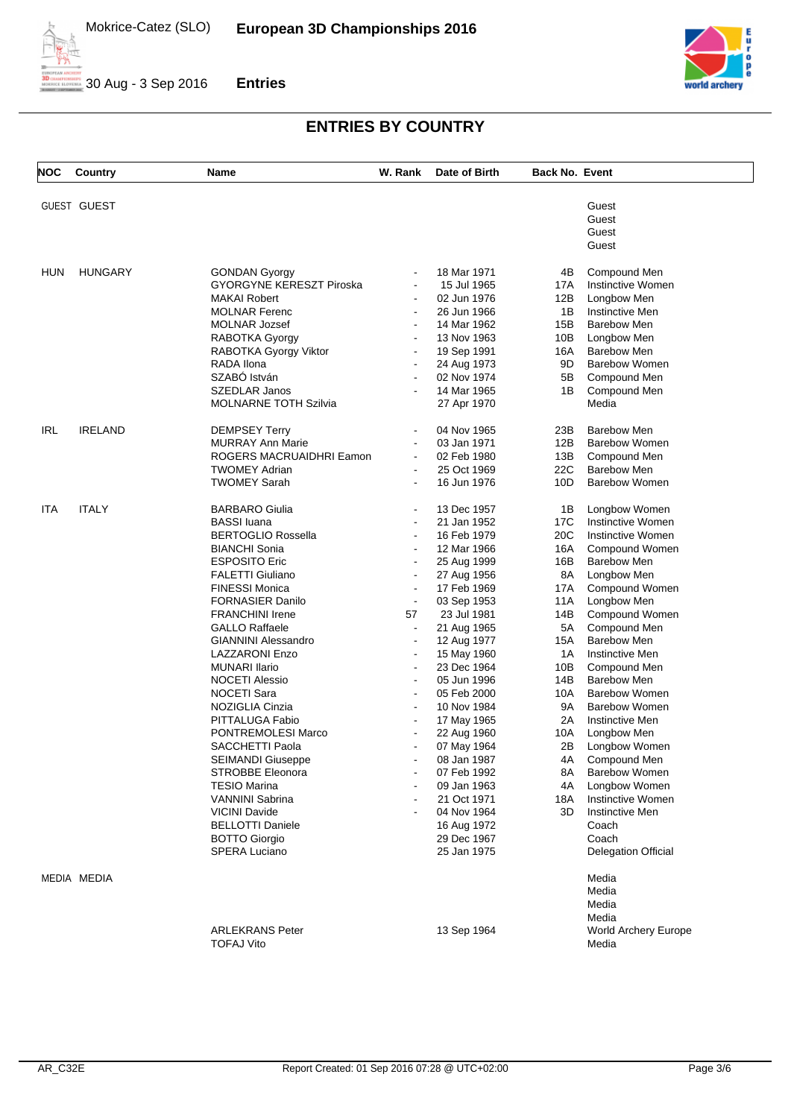



| <b>NOC</b> | Country            | Name                                            | W. Rank                          | Date of Birth              | <b>Back No. Event</b> |                                      |
|------------|--------------------|-------------------------------------------------|----------------------------------|----------------------------|-----------------------|--------------------------------------|
|            |                    |                                                 |                                  |                            |                       |                                      |
|            | <b>GUEST GUEST</b> |                                                 |                                  |                            |                       | Guest<br>Guest                       |
|            |                    |                                                 |                                  |                            |                       | Guest                                |
|            |                    |                                                 |                                  |                            |                       | Guest                                |
|            |                    |                                                 |                                  |                            |                       |                                      |
| HUN        | <b>HUNGARY</b>     | <b>GONDAN Gyorgy</b>                            | $\blacksquare$                   | 18 Mar 1971                | 4B                    | Compound Men                         |
|            |                    | <b>GYORGYNE KERESZT Piroska</b>                 | $\blacksquare$                   | 15 Jul 1965                | 17A                   | Instinctive Women                    |
|            |                    | <b>MAKAI Robert</b>                             |                                  | 02 Jun 1976                | 12B                   | Longbow Men                          |
|            |                    | <b>MOLNAR Ferenc</b>                            | $\blacksquare$                   | 26 Jun 1966                | 1B                    | Instinctive Men                      |
|            |                    | MOLNAR Jozsef                                   |                                  | 14 Mar 1962                | 15B                   | <b>Barebow Men</b>                   |
|            |                    | RABOTKA Gyorgy                                  |                                  | 13 Nov 1963                | 10B                   | Longbow Men                          |
|            |                    | RABOTKA Gyorgy Viktor                           | $\blacksquare$                   | 19 Sep 1991                | 16A                   | <b>Barebow Men</b>                   |
|            |                    | RADA Ilona                                      |                                  | 24 Aug 1973                | 9D                    | <b>Barebow Women</b>                 |
|            |                    | SZABÓ István                                    | $\blacksquare$                   | 02 Nov 1974                | 5B                    | Compound Men                         |
|            |                    | <b>SZEDLAR Janos</b>                            |                                  | 14 Mar 1965                | 1B                    | Compound Men                         |
|            |                    | <b>MOLNARNE TOTH Szilvia</b>                    |                                  | 27 Apr 1970                |                       | Media                                |
| IRL        | <b>IRELAND</b>     | <b>DEMPSEY Terry</b>                            | $\blacksquare$                   | 04 Nov 1965                | 23B                   | <b>Barebow Men</b>                   |
|            |                    | <b>MURRAY Ann Marie</b>                         | $\blacksquare$                   | 03 Jan 1971                | 12B                   | <b>Barebow Women</b>                 |
|            |                    | ROGERS MACRUAIDHRI Eamon                        | $\sim$                           | 02 Feb 1980                | 13B                   | Compound Men                         |
|            |                    | <b>TWOMEY Adrian</b>                            | $\blacksquare$                   | 25 Oct 1969                | 22C                   | <b>Barebow Men</b>                   |
|            |                    | <b>TWOMEY Sarah</b>                             | $\overline{\phantom{a}}$         | 16 Jun 1976                | 10D                   | <b>Barebow Women</b>                 |
|            |                    | <b>BARBARO Giulia</b>                           |                                  |                            |                       |                                      |
| ITA        | <b>ITALY</b>       |                                                 | $\blacksquare$<br>$\blacksquare$ | 13 Dec 1957                | 1B                    | Longbow Women<br>Instinctive Women   |
|            |                    | <b>BASSI</b> luana<br><b>BERTOGLIO Rossella</b> |                                  | 21 Jan 1952                | 17C<br>20C            |                                      |
|            |                    |                                                 | $\blacksquare$                   | 16 Feb 1979                |                       | Instinctive Women                    |
|            |                    | <b>BIANCHI Sonia</b><br><b>ESPOSITO Eric</b>    | $\blacksquare$                   | 12 Mar 1966                | 16A<br>16B            | Compound Women<br><b>Barebow Men</b> |
|            |                    | <b>FALETTI Giuliano</b>                         | $\blacksquare$                   | 25 Aug 1999                | 8A                    |                                      |
|            |                    | <b>FINESSI Monica</b>                           | $\blacksquare$                   | 27 Aug 1956<br>17 Feb 1969 | 17A                   | Longbow Men<br>Compound Women        |
|            |                    | <b>FORNASIER Danilo</b>                         | $\blacksquare$                   | 03 Sep 1953                | 11A                   | Longbow Men                          |
|            |                    | <b>FRANCHINI Irene</b>                          | 57                               | 23 Jul 1981                | 14B                   | Compound Women                       |
|            |                    | <b>GALLO Raffaele</b>                           |                                  | 21 Aug 1965                | 5A                    | Compound Men                         |
|            |                    | <b>GIANNINI Alessandro</b>                      | $\blacksquare$                   | 12 Aug 1977                | 15A                   | <b>Barebow Men</b>                   |
|            |                    | LAZZARONI Enzo                                  | $\blacksquare$                   | 15 May 1960                | 1A                    | Instinctive Men                      |
|            |                    | <b>MUNARI Ilario</b>                            | $\blacksquare$                   | 23 Dec 1964                | 10B                   | Compound Men                         |
|            |                    | <b>NOCETI Alessio</b>                           | $\blacksquare$                   | 05 Jun 1996                | 14B                   | <b>Barebow Men</b>                   |
|            |                    | <b>NOCETI Sara</b>                              | $\overline{\phantom{a}}$         | 05 Feb 2000                | 10A                   | <b>Barebow Women</b>                 |
|            |                    | NOZIGLIA Cinzia                                 |                                  | 10 Nov 1984                | 9A                    | <b>Barebow Women</b>                 |
|            |                    | PITTALUGA Fabio                                 |                                  | 17 May 1965                | 2A                    | <b>Instinctive Men</b>               |
|            |                    | PONTREMOLESI Marco                              |                                  | 22 Aug 1960                | 10A                   | Longbow Men                          |
|            |                    | SACCHETTI Paola                                 |                                  | 07 May 1964                | 2Β                    | Longbow Women                        |
|            |                    | SEIMANDI Giuseppe                               |                                  | 08 Jan 1987                | 4A                    | Compound Men                         |
|            |                    | <b>STROBBE Eleonora</b>                         |                                  | 07 Feb 1992                | 8A                    | <b>Barebow Women</b>                 |
|            |                    | <b>TESIO Marina</b>                             |                                  | 09 Jan 1963                | 4A                    | Longbow Women                        |
|            |                    | <b>VANNINI Sabrina</b>                          |                                  | 21 Oct 1971                | 18A                   | Instinctive Women                    |
|            |                    | <b>VICINI Davide</b>                            |                                  | 04 Nov 1964                | 3D                    | <b>Instinctive Men</b>               |
|            |                    | <b>BELLOTTI Daniele</b>                         |                                  | 16 Aug 1972                |                       | Coach                                |
|            |                    | <b>BOTTO Giorgio</b>                            |                                  | 29 Dec 1967                |                       | Coach                                |
|            |                    | SPERA Luciano                                   |                                  | 25 Jan 1975                |                       | <b>Delegation Official</b>           |
|            | MEDIA MEDIA        |                                                 |                                  |                            |                       | Media                                |
|            |                    |                                                 |                                  |                            |                       | Media                                |
|            |                    |                                                 |                                  |                            |                       | Media                                |
|            |                    |                                                 |                                  |                            |                       | Media                                |
|            |                    | <b>ARLEKRANS Peter</b>                          |                                  | 13 Sep 1964                |                       | <b>World Archery Europe</b>          |
|            |                    | <b>TOFAJ Vito</b>                               |                                  |                            |                       | Media                                |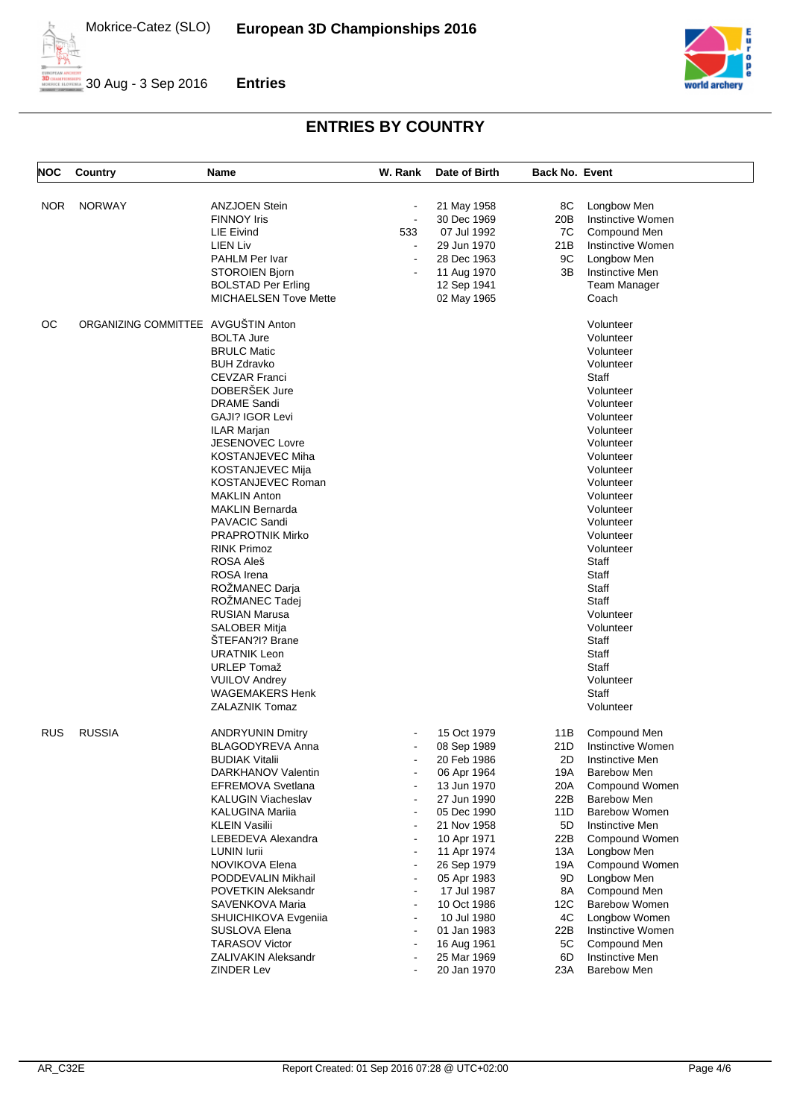



| NOC        | Country                             | <b>Name</b>                  | W. Rank                  | Date of Birth | <b>Back No. Event</b> |                        |
|------------|-------------------------------------|------------------------------|--------------------------|---------------|-----------------------|------------------------|
| NOR.       | <b>NORWAY</b>                       | <b>ANZJOEN Stein</b>         |                          | 21 May 1958   | 8C                    | Longbow Men            |
|            |                                     | <b>FINNOY Iris</b>           | $\blacksquare$           | 30 Dec 1969   | 20B                   | Instinctive Women      |
|            |                                     | <b>LIE Eivind</b>            | 533                      | 07 Jul 1992   | 7C                    | Compound Men           |
|            |                                     | LIEN Liv                     | $\blacksquare$           | 29 Jun 1970   | 21B                   | Instinctive Women      |
|            |                                     | PAHLM Per Ivar               |                          | 28 Dec 1963   | 9C                    | Longbow Men            |
|            |                                     | STOROIEN Bjorn               |                          | 11 Aug 1970   | 3B                    | <b>Instinctive Men</b> |
|            |                                     | <b>BOLSTAD Per Erling</b>    |                          | 12 Sep 1941   |                       | <b>Team Manager</b>    |
|            |                                     | <b>MICHAELSEN Tove Mette</b> |                          | 02 May 1965   |                       | Coach                  |
| ОC         | ORGANIZING COMMITTEE AVGUŠTIN Anton |                              |                          |               |                       | Volunteer              |
|            |                                     | <b>BOLTA Jure</b>            |                          |               |                       | Volunteer              |
|            |                                     | <b>BRULC Matic</b>           |                          |               |                       | Volunteer              |
|            |                                     | <b>BUH Zdravko</b>           |                          |               |                       | Volunteer              |
|            |                                     | <b>CEVZAR Franci</b>         |                          |               |                       | Staff                  |
|            |                                     | DOBERŠEK Jure                |                          |               |                       | Volunteer              |
|            |                                     | <b>DRAME Sandi</b>           |                          |               |                       | Volunteer              |
|            |                                     | GAJI? IGOR Levi              |                          |               |                       | Volunteer              |
|            |                                     |                              |                          |               |                       | Volunteer              |
|            |                                     | ILAR Marjan                  |                          |               |                       |                        |
|            |                                     | JESENOVEC Lovre              |                          |               |                       | Volunteer              |
|            |                                     | KOSTANJEVEC Miha             |                          |               |                       | Volunteer              |
|            |                                     | <b>KOSTANJEVEC Mija</b>      |                          |               |                       | Volunteer              |
|            |                                     | KOSTANJEVEC Roman            |                          |               |                       | Volunteer              |
|            |                                     | <b>MAKLIN Anton</b>          |                          |               |                       | Volunteer              |
|            |                                     | MAKLIN Bernarda              |                          |               |                       | Volunteer              |
|            |                                     | <b>PAVACIC Sandi</b>         |                          |               |                       | Volunteer              |
|            |                                     | <b>PRAPROTNIK Mirko</b>      |                          |               |                       | Volunteer              |
|            |                                     | <b>RINK Primoz</b>           |                          |               |                       | Volunteer              |
|            |                                     | ROSA Aleš                    |                          |               |                       | Staff                  |
|            |                                     | ROSA Irena                   |                          |               |                       | Staff                  |
|            |                                     | ROŻMANEC Darja               |                          |               |                       | Staff                  |
|            |                                     | ROŽMANEC Tadej               |                          |               |                       | Staff                  |
|            |                                     | <b>RUSIAN Marusa</b>         |                          |               |                       | Volunteer              |
|            |                                     | SALOBER Mitja                |                          |               |                       | Volunteer              |
|            |                                     | STEFAN?I? Brane              |                          |               |                       | Staff                  |
|            |                                     | <b>URATNIK Leon</b>          |                          |               |                       | Staff                  |
|            |                                     | <b>URLEP Tomaž</b>           |                          |               |                       | Staff                  |
|            |                                     | <b>VUILOV Andrey</b>         |                          |               |                       | Volunteer              |
|            |                                     | WAGEMAKERS Henk              |                          |               |                       | Staff                  |
|            |                                     | ZALAZNIK Tomaz               |                          |               |                       | Volunteer              |
| <b>RUS</b> | <b>RUSSIA</b>                       | <b>ANDRYUNIN Dmitry</b>      |                          | 15 Oct 1979   | 11B                   | Compound Men           |
|            |                                     | <b>BLAGODYREVA Anna</b>      |                          | 08 Sep 1989   | 21D                   | Instinctive Women      |
|            |                                     | <b>BUDIAK Vitalii</b>        |                          | 20 Feb 1986   | 2D                    | Instinctive Men        |
|            |                                     | DARKHANOV Valentin           |                          | 06 Apr 1964   | 19A                   | <b>Barebow Men</b>     |
|            |                                     | EFREMOVA Svetlana            |                          | 13 Jun 1970   | 20A                   | Compound Women         |
|            |                                     | <b>KALUGIN Viacheslav</b>    | $\overline{\phantom{a}}$ | 27 Jun 1990   | 22B                   | <b>Barebow Men</b>     |
|            |                                     | KALUGINA Mariia              |                          | 05 Dec 1990   | 11D                   | <b>Barebow Women</b>   |
|            |                                     | <b>KLEIN Vasilii</b>         | $\overline{a}$           | 21 Nov 1958   | 5D                    | Instinctive Men        |
|            |                                     | LEBEDEVA Alexandra           |                          | 10 Apr 1971   | 22B                   | Compound Women         |
|            |                                     | LUNIN lurii                  | $\overline{a}$           | 11 Apr 1974   | 13A                   | Longbow Men            |
|            |                                     | NOVIKOVA Elena               | $\overline{a}$           | 26 Sep 1979   | 19A                   | Compound Women         |
|            |                                     | PODDEVALIN Mikhail           | $\overline{a}$           | 05 Apr 1983   | 9D                    | Longbow Men            |
|            |                                     | POVETKIN Aleksandr           | $\blacksquare$           | 17 Jul 1987   | 8A                    | Compound Men           |
|            |                                     | SAVENKOVA Maria              | $\overline{a}$           | 10 Oct 1986   | 12C                   | Barebow Women          |
|            |                                     | SHUICHIKOVA Evgenija         |                          | 10 Jul 1980   | 4C                    | Longbow Women          |
|            |                                     | SUSLOVA Elena                | $\overline{\phantom{a}}$ | 01 Jan 1983   | 22B                   | Instinctive Women      |
|            |                                     |                              |                          |               |                       |                        |
|            |                                     | <b>TARASOV Victor</b>        |                          | 16 Aug 1961   | 5C                    | Compound Men           |
|            |                                     | ZALIVAKIN Aleksandr          |                          | 25 Mar 1969   | 6D                    | Instinctive Men        |
|            |                                     | <b>ZINDER Lev</b>            |                          | 20 Jan 1970   | 23A                   | <b>Barebow Men</b>     |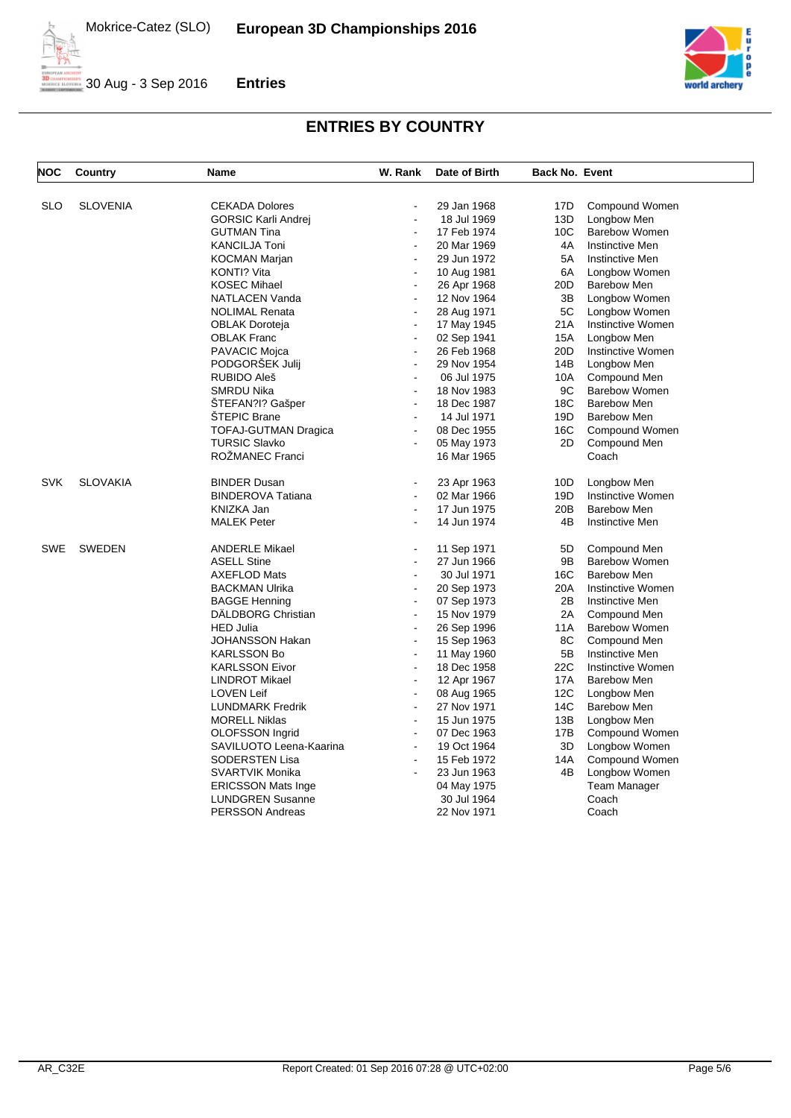



| <b>NOC</b> | Country         | <b>Name</b>               | W. Rank                          | Date of Birth | <b>Back No. Event</b> |                        |
|------------|-----------------|---------------------------|----------------------------------|---------------|-----------------------|------------------------|
| <b>SLO</b> | <b>SLOVENIA</b> | <b>CEKADA Dolores</b>     | $\overline{a}$                   | 29 Jan 1968   | 17D                   | Compound Women         |
|            |                 | GORSIC Karli Andrej       | $\blacksquare$                   | 18 Jul 1969   | 13D                   | Longbow Men            |
|            |                 | <b>GUTMAN Tina</b>        | $\overline{\phantom{a}}$         | 17 Feb 1974   | 10C                   | <b>Barebow Women</b>   |
|            |                 | <b>KANCILJA Toni</b>      | $\blacksquare$                   | 20 Mar 1969   | 4A                    | Instinctive Men        |
|            |                 | <b>KOCMAN Marjan</b>      |                                  | 29 Jun 1972   | 5A                    | <b>Instinctive Men</b> |
|            |                 | KONTI? Vita               | $\blacksquare$                   | 10 Aug 1981   | 6A                    | Longbow Women          |
|            |                 | <b>KOSEC Mihael</b>       | $\overline{a}$                   | 26 Apr 1968   | 20 <sub>D</sub>       | <b>Barebow Men</b>     |
|            |                 | NATLACEN Vanda            | $\overline{a}$                   | 12 Nov 1964   | 3B                    | Longbow Women          |
|            |                 | <b>NOLIMAL Renata</b>     | $\overline{a}$                   | 28 Aug 1971   | 5C                    | Longbow Women          |
|            |                 | OBLAK Doroteja            | $\blacksquare$                   | 17 May 1945   | 21A                   | Instinctive Women      |
|            |                 | <b>OBLAK Franc</b>        | $\ddot{\phantom{a}}$             | 02 Sep 1941   | <b>15A</b>            | Longbow Men            |
|            |                 | PAVACIC Mojca             | $\blacksquare$                   | 26 Feb 1968   | 20 <sub>D</sub>       | Instinctive Women      |
|            |                 | PODGORŠEK Julij           | $\overline{\phantom{a}}$         | 29 Nov 1954   | 14B                   | Longbow Men            |
|            |                 | RUBIDO Aleš               | $\overline{a}$                   | 06 Jul 1975   | 10A                   | Compound Men           |
|            |                 | <b>SMRDU Nika</b>         | $\overline{a}$                   | 18 Nov 1983   | 9C                    | <b>Barebow Women</b>   |
|            |                 | STEFAN?I? Gašper          | $\blacksquare$                   | 18 Dec 1987   | 18 <sub>C</sub>       | Barebow Men            |
|            |                 | <b>STEPIC Brane</b>       | $\blacksquare$                   | 14 Jul 1971   | 19D                   | <b>Barebow Men</b>     |
|            |                 | TOFAJ-GUTMAN Dragica      | $\overline{a}$                   | 08 Dec 1955   | 16C                   | Compound Women         |
|            |                 | <b>TURSIC Slavko</b>      | $\overline{a}$                   | 05 May 1973   | 2D                    | Compound Men           |
|            |                 | ROŽMANEC Franci           |                                  | 16 Mar 1965   |                       | Coach                  |
| <b>SVK</b> | <b>SLOVAKIA</b> | <b>BINDER Dusan</b>       | $\blacksquare$                   | 23 Apr 1963   | 10D                   | Longbow Men            |
|            |                 | <b>BINDEROVA Tatiana</b>  | $\blacksquare$                   | 02 Mar 1966   | 19D                   | Instinctive Women      |
|            |                 | KNIZKA Jan                | $\overline{a}$                   | 17 Jun 1975   | 20 <sub>B</sub>       | <b>Barebow Men</b>     |
|            |                 | <b>MALEK Peter</b>        |                                  | 14 Jun 1974   | 4B                    | <b>Instinctive Men</b> |
| SWE        | <b>SWEDEN</b>   | <b>ANDERLE Mikael</b>     |                                  | 11 Sep 1971   | 5D                    | Compound Men           |
|            |                 | <b>ASELL Stine</b>        | $\overline{\phantom{a}}$         | 27 Jun 1966   | 9B                    | Barebow Women          |
|            |                 | <b>AXEFLOD Mats</b>       |                                  | 30 Jul 1971   | 16C                   | <b>Barebow Men</b>     |
|            |                 | <b>BACKMAN Ulrika</b>     | $\overline{\phantom{a}}$         | 20 Sep 1973   | 20A                   | Instinctive Women      |
|            |                 | <b>BAGGE Henning</b>      | $\overline{\phantom{a}}$         | 07 Sep 1973   | 2B                    | Instinctive Men        |
|            |                 | <b>DALDBORG Christian</b> | $\overline{\phantom{a}}$         | 15 Nov 1979   | 2A                    | Compound Men           |
|            |                 | <b>HED Julia</b>          | $\overline{\phantom{a}}$         | 26 Sep 1996   | 11A                   | <b>Barebow Women</b>   |
|            |                 | JOHANSSON Hakan           | $\overline{\phantom{a}}$         | 15 Sep 1963   | 8C                    | Compound Men           |
|            |                 | <b>KARLSSON Bo</b>        | $\overline{\phantom{a}}$         | 11 May 1960   | 5B                    | <b>Instinctive Men</b> |
|            |                 | <b>KARLSSON Eivor</b>     | $\overline{\phantom{a}}$         | 18 Dec 1958   | 22C                   | Instinctive Women      |
|            |                 | <b>LINDROT Mikael</b>     | $\overline{\phantom{a}}$         | 12 Apr 1967   | 17A                   | <b>Barebow Men</b>     |
|            |                 | <b>LOVEN Leif</b>         | $\overline{\phantom{a}}$         | 08 Aug 1965   | 12C                   | Longbow Men            |
|            |                 | LUNDMARK Fredrik          | $\overline{\phantom{a}}$         | 27 Nov 1971   | 14C                   | <b>Barebow Men</b>     |
|            |                 | <b>MORELL Niklas</b>      | $\overline{a}$                   | 15 Jun 1975   | 13B                   | Longbow Men            |
|            |                 | OLOFSSON Ingrid           | $\overline{\phantom{a}}$         | 07 Dec 1963   | 17B                   | Compound Women         |
|            |                 | SAVILUOTO Leena-Kaarina   | $\overline{a}$<br>$\overline{a}$ | 19 Oct 1964   | 3D                    | Longbow Women          |
|            |                 | SODERSTEN Lisa            |                                  | 15 Feb 1972   | 14A                   | Compound Women         |
|            |                 | <b>SVARTVIK Monika</b>    |                                  | 23 Jun 1963   | 4B                    | Longbow Women          |
|            |                 | <b>ERICSSON Mats Inge</b> |                                  | 04 May 1975   |                       | Team Manager           |
|            |                 | <b>LUNDGREN Susanne</b>   |                                  | 30 Jul 1964   |                       | Coach                  |
|            |                 | <b>PERSSON Andreas</b>    |                                  | 22 Nov 1971   |                       | Coach                  |